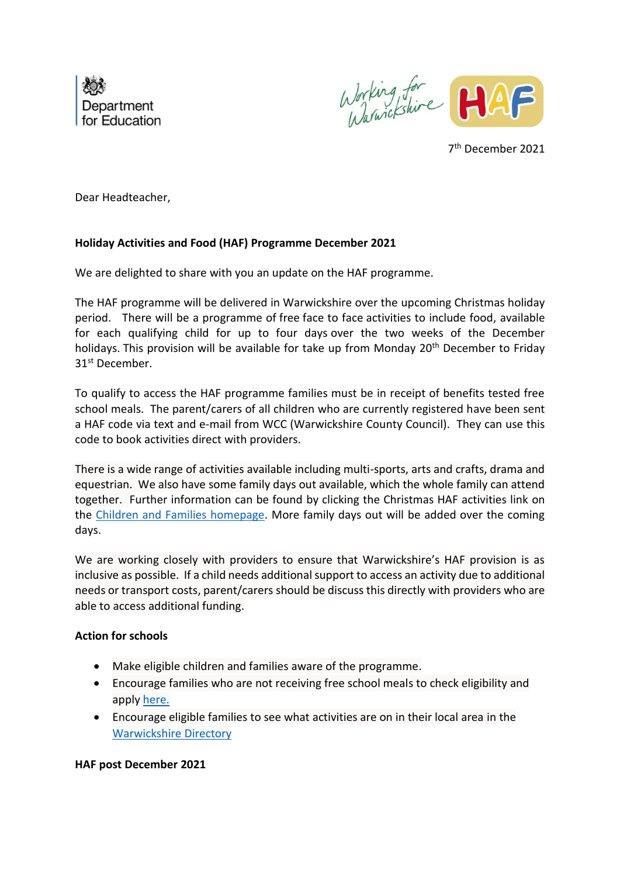

Working for<br>Warnickshire HAF

7 th December 2021

Dear Headteacher,

## **Holiday Activities and Food (HAF) Programme December 2021**

We are delighted to share with you an update on the HAF programme.

The HAF programme will be delivered in Warwickshire over the upcoming Christmas holiday period. There will be a programme of free face to face activities to include food, available for each qualifying child for up to four days over the two weeks of the December holidays. This provision will be available for take up from Monday 20<sup>th</sup> December to Friday 31st December.

To qualify to access the HAF programme families must be in receipt of benefits tested free school meals. The parent/carers of all children who are currently registered have been sent a HAF code via text and e-mail from WCC (Warwickshire County Council). They can use this code to book activities direct with providers.

There is a wide range of activities available including multi-sports, arts and crafts, drama and equestrian. We also have some family days out available, which the whole family can attend together. Further information can be found by clicking the Christmas HAF activities link on the [Children and Families homepage.](http://www.warwickshire.gov.uk/fis) More family days out will be added over the coming days.

We are working closely with providers to ensure that Warwickshire's HAF provision is as inclusive as possible. If a child needs additional support to access an activity due to additional needs or transport costs, parent/carers should be discuss this directly with providers who are able to access additional funding.

## **Action for schools**

- Make eligible children and families aware of the programme.
- Encourage families who are not receiving free school meals to check eligibility and apply [here.](http://www.warwickshire.gov.uk/education-learning/apply-free-school-meals)
- Encourage eligible families to see what activities are on in their local area in the [Warwickshire Directory](https://directory.warwickshire.gov.uk/home/category?ca=203&cb=364)

## **HAF post December 2021**